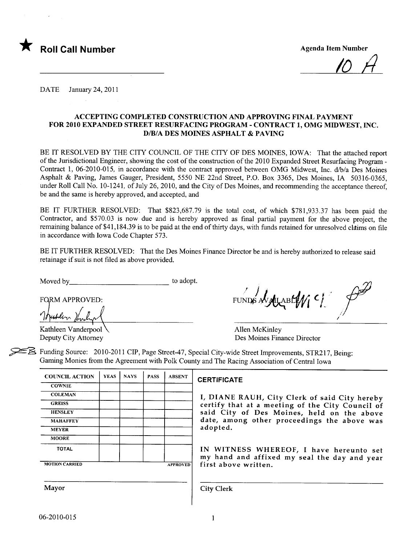

/0 II

DATE January 24, 2011

#### ACCEPTING COMPLETED CONSTRUCTION AND APPROVING FINAL PAYMENT FOR 2010 EXPANDED STREET RESURFACING PROGRAM - CONTRACT 1, OMG MIDWEST, INC. D/B/A DES MOINES ASPHALT & PAVING

BE IT RESOLVED BY THE CITY COUNCIL OF THE CITY OF DES MOINES, IOWA: That the attached report of the Jurisdictional Engineer, showing the cost of the construction of the 2010 Expanded Street Resurfacing Program-Contract 1, 06-2010-015, in accordance with the contract approved between OMG Midwest, Inc. d/b/a Des Moines Asphalt & Paving, James Gauger, President, 5550 NE 22nd Street, P.O. Box 3365, Des Moines, IA 50316-0365, under Roll Call No. 10-1241, of July 26,2010, and the City of Des Moines, and recommending the acceptance thereof, be and the same is hereby approved, and accepted, and

BE IT FURTHER RESOLVED: That \$823,687.79 is the total cost, of which \$781,933.37 has been paid the Contractor, and \$570.03 is now due and is hereby approved as final partial payment for the above project, the remaining balance of \$41,184.39 is to be paid at the end of thirty days, with funds retained for unresolved claims on file in accordance with Iowa Code Chapter 573.

BE IT FURTHER RESOLVED: That the Des Moines Finance Director be and is hereby authorized to release said retainage if suit is not fied as above provided.

Moved by to adopt.

**FORM APPROVED:** 

Kathleen Vanderpool Allen McKinley

 $FUNDS$  AV ALABLE  $M$   $C$ i

Des Moines Finance Director

~ Funding Source: 2010-2011 CIP, Page Street-47, Special City-wide Street Improvements, STR217, Being: Gaming Monies from the Agreement with Polk County and The Racing Association of Central Iowa

| <b>YEAS</b> | <b>NAYS</b> | <b>PASS</b> | <b>ABSENT</b>   |
|-------------|-------------|-------------|-----------------|
|             |             |             |                 |
|             |             |             |                 |
|             |             |             |                 |
|             |             |             |                 |
|             |             |             |                 |
|             |             |             |                 |
|             |             |             |                 |
|             |             |             |                 |
|             |             |             | <b>APPROVED</b> |
|             |             |             |                 |

#### **CERTIFICATE**

I, DIANE RAUH, City Clerk of said City hereby certify that at a meeting of the City Council of said City of Des Moines, held on the above date, among other proceedings the above was adopted.

IN WITNESS WHEREOF, I have hereunto set<br>my hand and affixed my seal the day and year first above written.

Mayor **City Clerk**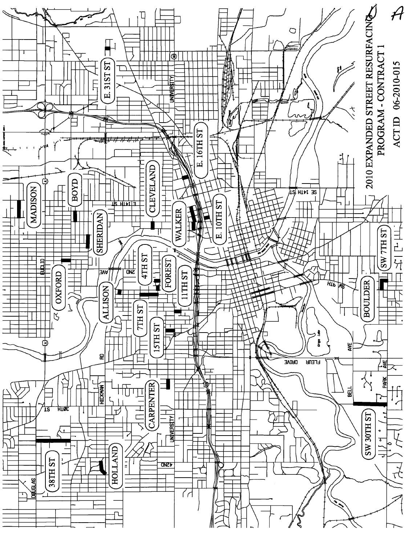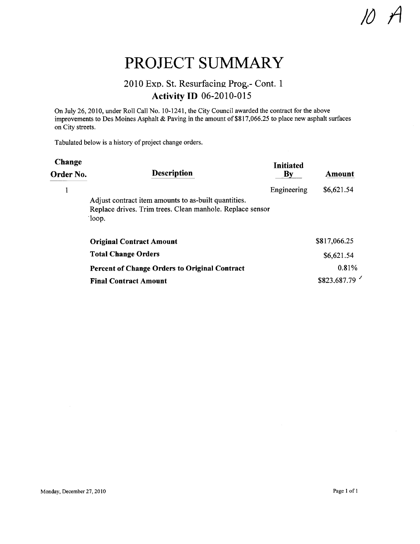### PROJECT SUMMARY

#### 2010 Exp. St. Resurfacing Prog.- Cont. 1 **Activity ID 06-2010-015**

On July 26, 2010, under Roll Call No.1 0-1241, the City Council awarded the contract for the above improvements to Des Moines Asphalt & Paving in the amount of \$817,066.25 to place new asphalt surfaces on City streets.

Tabulated below is a history of project change orders.

| Change<br>Order No. | <b>Description</b>                                                  | Initiated<br>$\mathbf{B}\mathbf{v}$ | Amount       |
|---------------------|---------------------------------------------------------------------|-------------------------------------|--------------|
|                     | Adjust contract item amounts to as-built quantities.                | Engineering                         | \$6,621.54   |
|                     | Replace drives. Trim trees. Clean manhole. Replace sensor<br>$\log$ |                                     |              |
|                     | <b>Original Contract Amount</b>                                     |                                     | \$817,066.25 |
|                     | <b>Total Change Orders</b>                                          |                                     | \$6,621.54   |
|                     | Percent of Change Orders to Original Contract                       |                                     | 0.81%        |
|                     | <b>Final Contract Amount</b>                                        |                                     | \$823,687.79 |

 $\overline{U}$  11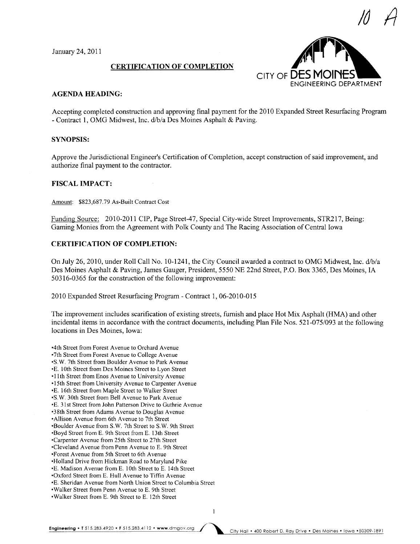January 24,2011

#### CERTIFICATION OF COMPLETION



#### AGENDA HEADING:

Accepting completed construction and approving final payment for the 2010 Expanded Street Resurfacing Program - Contract 1, OMG Midwest, Inc. d/b/a Des Moines Asphalt & Paving.

#### SYNOPSIS:

Approve the Jurisdictional Engineer's Certification of Completion, accept construction of said improvement, and authorize final payment to the contractor.

#### FISCAL IMPACT:

Amount: \$823,687.79 As-Built Contract Cost

Funding Source: 2010-2011 CIP, Page Street-47, Special City-wide Street Improvements, STR217, Being: Gaming Monies from the Agreement with Polk County and The Racing Association of Central Iowa

#### CERTIFICATION OF COMPLETION:

On July 26, 2010, under Roll Call No. 10-1241, the City Council awarded a contract to OMG Midwest, Inc. d/b/a Des Moines Asphalt & Paving, James Gauger, President, 5550 NE 22nd Street, P.O. Box 3365, Des Moines, IA 50316-0365 for the construction of the following improvement:

2010 Expanded Street Resurfacing Program - Contract 1,06-2010-015

The improvement includes scarification of existing streets, furnish and place Hot Mix Asphalt (HMA) and other incidental items in accordance with the contract documents, including Plan File Nos. 521-075/093 at the following locations in Des Moines, Iowa:

-4th Street from Forest Avenue to Orchard Avenue -7th Street from Forest Avenue to College Avenue -S.W. 7th Street from Boulder Avenue to Park Avenue -E. i Oth Street from Des Moines Street to Lyon Street -11th Street from Enos Avenue to University Avenue -15th Street from University Avenue to Carpenter Avenue -E. 16th Street from Maple Street to Walker Street -S.W. 30th Street from Bell Avenue to Park Avenue -E. 31st Street from John Patterson Drive to Guthrie Avenue -38th Street from Adams Avenue to Douglas Avenue -Allison Avenue from 6th Avenue to 7th Street -Boulder Avenue from S.W. 7th Street to S.W. 9th Street -Boyd Street from E. 9th Street from E. 13th Street -Carpenter Avenue from 25th Street to 27th Street -Cleveland A venue from Penn A venue to E. 9th Street -Forest Avenue from 5th Street to 6th Avenue -Holland Drive from Hickman Road to Maryland Pike -E. Madison Avenue from E. 10th Street to E. 14th Street -Oxford Street from E. Hull Avenue to Tiffn Avenue -E. Sheridan Avenue from North Union Street to Columbia Street -Walker Street from Penn Avenue to E. 9th Street -Walker Street from E. 9th Street to E. 12th Street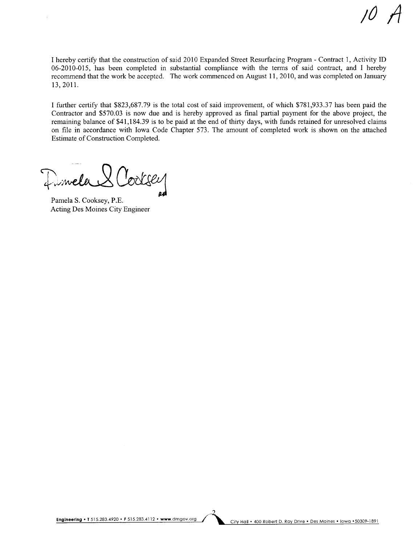I hereby certify that the construction of said 2010 Expanded Street Resurfacing Program - Contract 1, Activity ID 06-2010-015, has been completed in substantial compliance with the terms of said contract, and I hereby recommend that the work be accepted. The work commenced on August 11,2010, and was completed on January 13,2011.

I further certify that \$823,687.79 is the total cost of said improvement, of which \$781,933.37 has been paid the Contractor and \$570.03 is now due and is hereby approved as final partial payment for the above project, the remaining balance of \$41,184.39 is to be paid at the end of thirty days, with funds retained for unresolved claims on file in accordance with Iowa Code Chapter 573. The amount of completed work is shown on the attached Estimate of Construction Completed.

Dimela & Cooksey

Pamela S. Cooksey, P.E. Acting Des Moines City Engineer